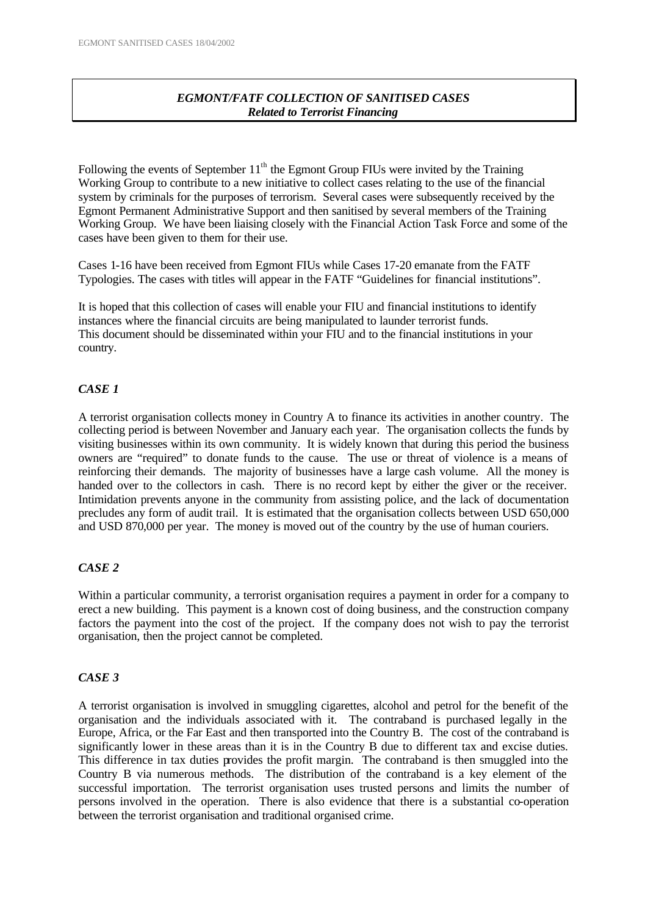# *EGMONT/FATF COLLECTION OF SANITISED CASES Related to Terrorist Financing*

Following the events of September  $11<sup>th</sup>$  the Egmont Group FIUs were invited by the Training Working Group to contribute to a new initiative to collect cases relating to the use of the financial system by criminals for the purposes of terrorism. Several cases were subsequently received by the Egmont Permanent Administrative Support and then sanitised by several members of the Training Working Group. We have been liaising closely with the Financial Action Task Force and some of the cases have been given to them for their use.

Cases 1-16 have been received from Egmont FIUs while Cases 17-20 emanate from the FATF Typologies. The cases with titles will appear in the FATF "Guidelines for financial institutions".

It is hoped that this collection of cases will enable your FIU and financial institutions to identify instances where the financial circuits are being manipulated to launder terrorist funds. This document should be disseminated within your FIU and to the financial institutions in your country.

# *CASE 1*

A terrorist organisation collects money in Country A to finance its activities in another country. The collecting period is between November and January each year. The organisation collects the funds by visiting businesses within its own community. It is widely known that during this period the business owners are "required" to donate funds to the cause. The use or threat of violence is a means of reinforcing their demands. The majority of businesses have a large cash volume. All the money is handed over to the collectors in cash. There is no record kept by either the giver or the receiver. Intimidation prevents anyone in the community from assisting police, and the lack of documentation precludes any form of audit trail. It is estimated that the organisation collects between USD 650,000 and USD 870,000 per year. The money is moved out of the country by the use of human couriers.

# *CASE 2*

Within a particular community, a terrorist organisation requires a payment in order for a company to erect a new building. This payment is a known cost of doing business, and the construction company factors the payment into the cost of the project. If the company does not wish to pay the terrorist organisation, then the project cannot be completed.

# *CASE 3*

A terrorist organisation is involved in smuggling cigarettes, alcohol and petrol for the benefit of the organisation and the individuals associated with it. The contraband is purchased legally in the Europe, Africa, or the Far East and then transported into the Country B. The cost of the contraband is significantly lower in these areas than it is in the Country B due to different tax and excise duties. This difference in tax duties provides the profit margin. The contraband is then smuggled into the Country B via numerous methods. The distribution of the contraband is a key element of the successful importation. The terrorist organisation uses trusted persons and limits the number of persons involved in the operation. There is also evidence that there is a substantial co-operation between the terrorist organisation and traditional organised crime.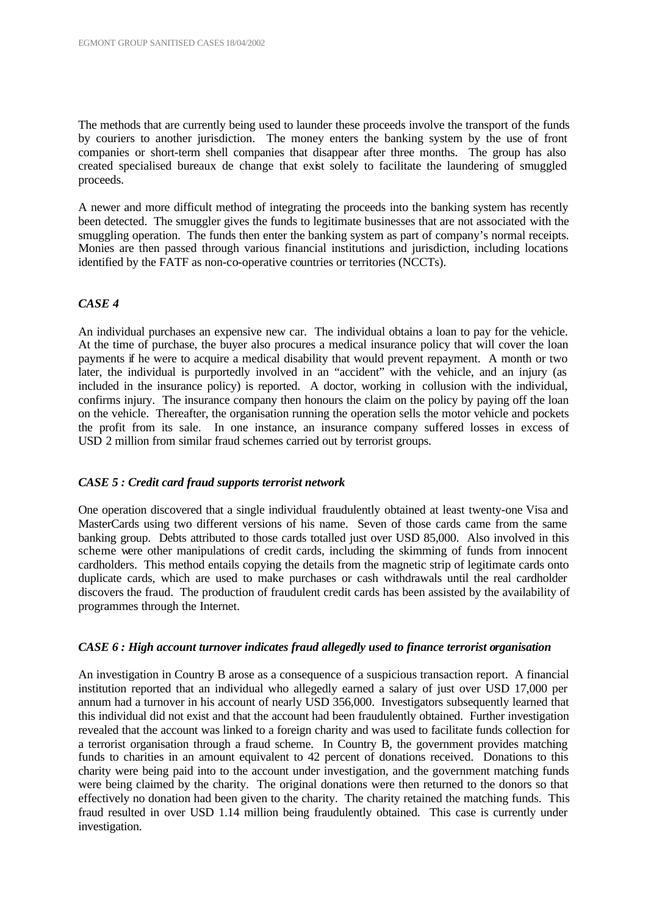The methods that are currently being used to launder these proceeds involve the transport of the funds by couriers to another jurisdiction. The money enters the banking system by the use of front companies or short-term shell companies that disappear after three months. The group has also created specialised bureaux de change that exist solely to facilitate the laundering of smuggled proceeds.

A newer and more difficult method of integrating the proceeds into the banking system has recently been detected. The smuggler gives the funds to legitimate businesses that are not associated with the smuggling operation. The funds then enter the banking system as part of company's normal receipts. Monies are then passed through various financial institutions and jurisdiction, including locations identified by the FATF as non-co-operative countries or territories (NCCTs).

## *CASE 4*

An individual purchases an expensive new car. The individual obtains a loan to pay for the vehicle. At the time of purchase, the buyer also procures a medical insurance policy that will cover the loan payments if he were to acquire a medical disability that would prevent repayment. A month or two later, the individual is purportedly involved in an "accident" with the vehicle, and an injury (as included in the insurance policy) is reported. A doctor, working in collusion with the individual, confirms injury. The insurance company then honours the claim on the policy by paying off the loan on the vehicle. Thereafter, the organisation running the operation sells the motor vehicle and pockets the profit from its sale. In one instance, an insurance company suffered losses in excess of USD 2 million from similar fraud schemes carried out by terrorist groups.

#### *CASE 5 : Credit card fraud supports terrorist network*

One operation discovered that a single individual fraudulently obtained at least twenty-one Visa and MasterCards using two different versions of his name. Seven of those cards came from the same banking group. Debts attributed to those cards totalled just over USD 85,000. Also involved in this scheme were other manipulations of credit cards, including the skimming of funds from innocent cardholders. This method entails copying the details from the magnetic strip of legitimate cards onto duplicate cards, which are used to make purchases or cash withdrawals until the real cardholder discovers the fraud. The production of fraudulent credit cards has been assisted by the availability of programmes through the Internet.

#### *CASE 6 : High account turnover indicates fraud allegedly used to finance terrorist organisation*

An investigation in Country B arose as a consequence of a suspicious transaction report. A financial institution reported that an individual who allegedly earned a salary of just over USD 17,000 per annum had a turnover in his account of nearly USD 356,000. Investigators subsequently learned that this individual did not exist and that the account had been fraudulently obtained. Further investigation revealed that the account was linked to a foreign charity and was used to facilitate funds collection for a terrorist organisation through a fraud scheme. In Country B, the government provides matching funds to charities in an amount equivalent to 42 percent of donations received. Donations to this charity were being paid into to the account under investigation, and the government matching funds were being claimed by the charity. The original donations were then returned to the donors so that effectively no donation had been given to the charity. The charity retained the matching funds. This fraud resulted in over USD 1.14 million being fraudulently obtained. This case is currently under investigation.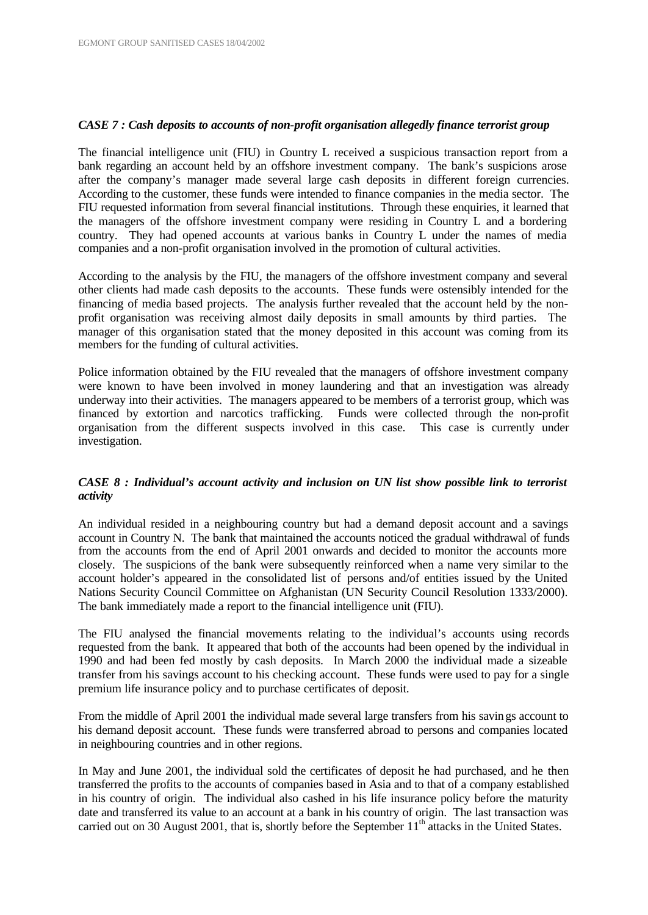## *CASE 7 : Cash deposits to accounts of non-profit organisation allegedly finance terrorist group*

The financial intelligence unit (FIU) in Country L received a suspicious transaction report from a bank regarding an account held by an offshore investment company. The bank's suspicions arose after the company's manager made several large cash deposits in different foreign currencies. According to the customer, these funds were intended to finance companies in the media sector. The FIU requested information from several financial institutions. Through these enquiries, it learned that the managers of the offshore investment company were residing in Country L and a bordering country. They had opened accounts at various banks in Country L under the names of media companies and a non-profit organisation involved in the promotion of cultural activities.

According to the analysis by the FIU, the managers of the offshore investment company and several other clients had made cash deposits to the accounts. These funds were ostensibly intended for the financing of media based projects. The analysis further revealed that the account held by the nonprofit organisation was receiving almost daily deposits in small amounts by third parties. The manager of this organisation stated that the money deposited in this account was coming from its members for the funding of cultural activities.

Police information obtained by the FIU revealed that the managers of offshore investment company were known to have been involved in money laundering and that an investigation was already underway into their activities. The managers appeared to be members of a terrorist group, which was financed by extortion and narcotics trafficking. Funds were collected through the non-profit organisation from the different suspects involved in this case. This case is currently under investigation.

# *CASE 8 : Individual's account activity and inclusion on UN list show possible link to terrorist activity*

An individual resided in a neighbouring country but had a demand deposit account and a savings account in Country N. The bank that maintained the accounts noticed the gradual withdrawal of funds from the accounts from the end of April 2001 onwards and decided to monitor the accounts more closely. The suspicions of the bank were subsequently reinforced when a name very similar to the account holder's appeared in the consolidated list of persons and/of entities issued by the United Nations Security Council Committee on Afghanistan (UN Security Council Resolution 1333/2000). The bank immediately made a report to the financial intelligence unit (FIU).

The FIU analysed the financial movements relating to the individual's accounts using records requested from the bank. It appeared that both of the accounts had been opened by the individual in 1990 and had been fed mostly by cash deposits. In March 2000 the individual made a sizeable transfer from his savings account to his checking account. These funds were used to pay for a single premium life insurance policy and to purchase certificates of deposit.

From the middle of April 2001 the individual made several large transfers from his savings account to his demand deposit account. These funds were transferred abroad to persons and companies located in neighbouring countries and in other regions.

In May and June 2001, the individual sold the certificates of deposit he had purchased, and he then transferred the profits to the accounts of companies based in Asia and to that of a company established in his country of origin. The individual also cashed in his life insurance policy before the maturity date and transferred its value to an account at a bank in his country of origin. The last transaction was carried out on 30 August 2001, that is, shortly before the September 11<sup>th</sup> attacks in the United States.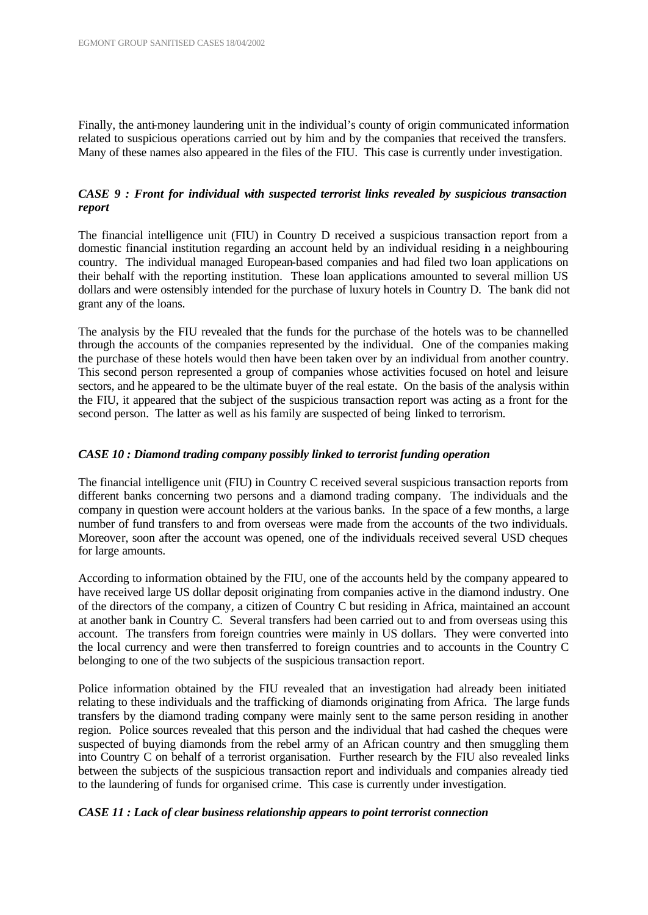Finally, the anti-money laundering unit in the individual's county of origin communicated information related to suspicious operations carried out by him and by the companies that received the transfers. Many of these names also appeared in the files of the FIU. This case is currently under investigation.

# *CASE 9 : Front for individual with suspected terrorist links revealed by suspicious transaction report*

The financial intelligence unit (FIU) in Country D received a suspicious transaction report from a domestic financial institution regarding an account held by an individual residing in a neighbouring country. The individual managed European-based companies and had filed two loan applications on their behalf with the reporting institution. These loan applications amounted to several million US dollars and were ostensibly intended for the purchase of luxury hotels in Country D. The bank did not grant any of the loans.

The analysis by the FIU revealed that the funds for the purchase of the hotels was to be channelled through the accounts of the companies represented by the individual. One of the companies making the purchase of these hotels would then have been taken over by an individual from another country. This second person represented a group of companies whose activities focused on hotel and leisure sectors, and he appeared to be the ultimate buyer of the real estate. On the basis of the analysis within the FIU, it appeared that the subject of the suspicious transaction report was acting as a front for the second person. The latter as well as his family are suspected of being linked to terrorism.

## *CASE 10 : Diamond trading company possibly linked to terrorist funding operation*

The financial intelligence unit (FIU) in Country C received several suspicious transaction reports from different banks concerning two persons and a diamond trading company. The individuals and the company in question were account holders at the various banks. In the space of a few months, a large number of fund transfers to and from overseas were made from the accounts of the two individuals. Moreover, soon after the account was opened, one of the individuals received several USD cheques for large amounts.

According to information obtained by the FIU, one of the accounts held by the company appeared to have received large US dollar deposit originating from companies active in the diamond industry. One of the directors of the company, a citizen of Country C but residing in Africa, maintained an account at another bank in Country C. Several transfers had been carried out to and from overseas using this account. The transfers from foreign countries were mainly in US dollars. They were converted into the local currency and were then transferred to foreign countries and to accounts in the Country C belonging to one of the two subjects of the suspicious transaction report.

Police information obtained by the FIU revealed that an investigation had already been initiated relating to these individuals and the trafficking of diamonds originating from Africa. The large funds transfers by the diamond trading company were mainly sent to the same person residing in another region. Police sources revealed that this person and the individual that had cashed the cheques were suspected of buying diamonds from the rebel army of an African country and then smuggling them into Country C on behalf of a terrorist organisation. Further research by the FIU also revealed links between the subjects of the suspicious transaction report and individuals and companies already tied to the laundering of funds for organised crime. This case is currently under investigation.

## *CASE 11 : Lack of clear business relationship appears to point terrorist connection*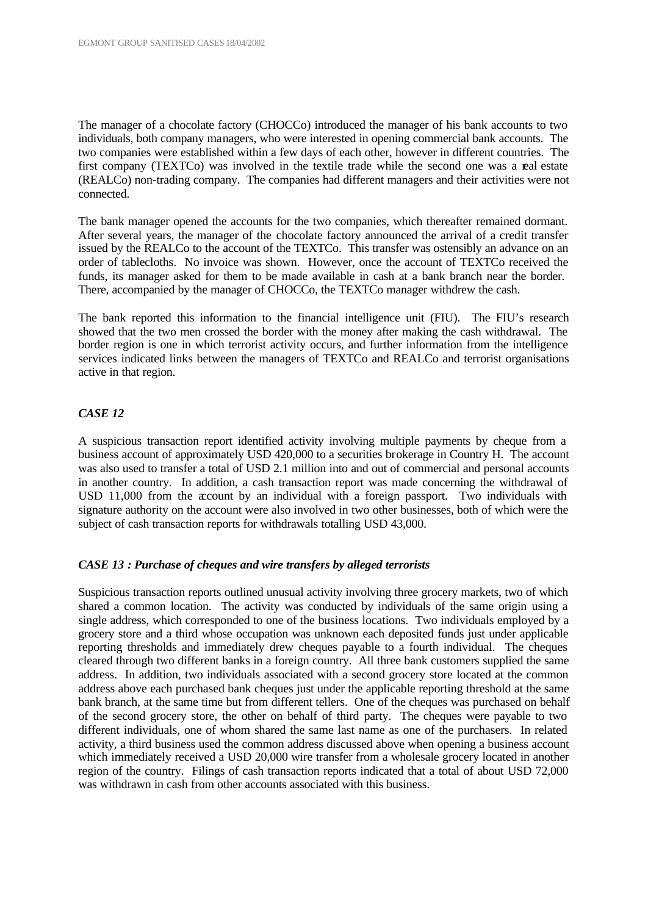The manager of a chocolate factory (CHOCCo) introduced the manager of his bank accounts to two individuals, both company managers, who were interested in opening commercial bank accounts. The two companies were established within a few days of each other, however in different countries. The first company (TEXTCo) was involved in the textile trade while the second one was a real estate (REALCo) non-trading company. The companies had different managers and their activities were not connected.

The bank manager opened the accounts for the two companies, which thereafter remained dormant. After several years, the manager of the chocolate factory announced the arrival of a credit transfer issued by the REALCo to the account of the TEXTCo. This transfer was ostensibly an advance on an order of tablecloths. No invoice was shown. However, once the account of TEXTCo received the funds, its manager asked for them to be made available in cash at a bank branch near the border. There, accompanied by the manager of CHOCCo, the TEXTCo manager withdrew the cash.

The bank reported this information to the financial intelligence unit (FIU). The FIU's research showed that the two men crossed the border with the money after making the cash withdrawal. The border region is one in which terrorist activity occurs, and further information from the intelligence services indicated links between the managers of TEXTCo and REALCo and terrorist organisations active in that region.

## *CASE 12*

A suspicious transaction report identified activity involving multiple payments by cheque from a business account of approximately USD 420,000 to a securities brokerage in Country H. The account was also used to transfer a total of USD 2.1 million into and out of commercial and personal accounts in another country. In addition, a cash transaction report was made concerning the withdrawal of USD 11,000 from the account by an individual with a foreign passport. Two individuals with signature authority on the account were also involved in two other businesses, both of which were the subject of cash transaction reports for withdrawals totalling USD 43,000.

#### *CASE 13 : Purchase of cheques and wire transfers by alleged terrorists*

Suspicious transaction reports outlined unusual activity involving three grocery markets, two of which shared a common location. The activity was conducted by individuals of the same origin using a single address, which corresponded to one of the business locations. Two individuals employed by a grocery store and a third whose occupation was unknown each deposited funds just under applicable reporting thresholds and immediately drew cheques payable to a fourth individual. The cheques cleared through two different banks in a foreign country. All three bank customers supplied the same address. In addition, two individuals associated with a second grocery store located at the common address above each purchased bank cheques just under the applicable reporting threshold at the same bank branch, at the same time but from different tellers. One of the cheques was purchased on behalf of the second grocery store, the other on behalf of third party. The cheques were payable to two different individuals, one of whom shared the same last name as one of the purchasers. In related activity, a third business used the common address discussed above when opening a business account which immediately received a USD 20,000 wire transfer from a wholesale grocery located in another region of the country. Filings of cash transaction reports indicated that a total of about USD 72,000 was withdrawn in cash from other accounts associated with this business.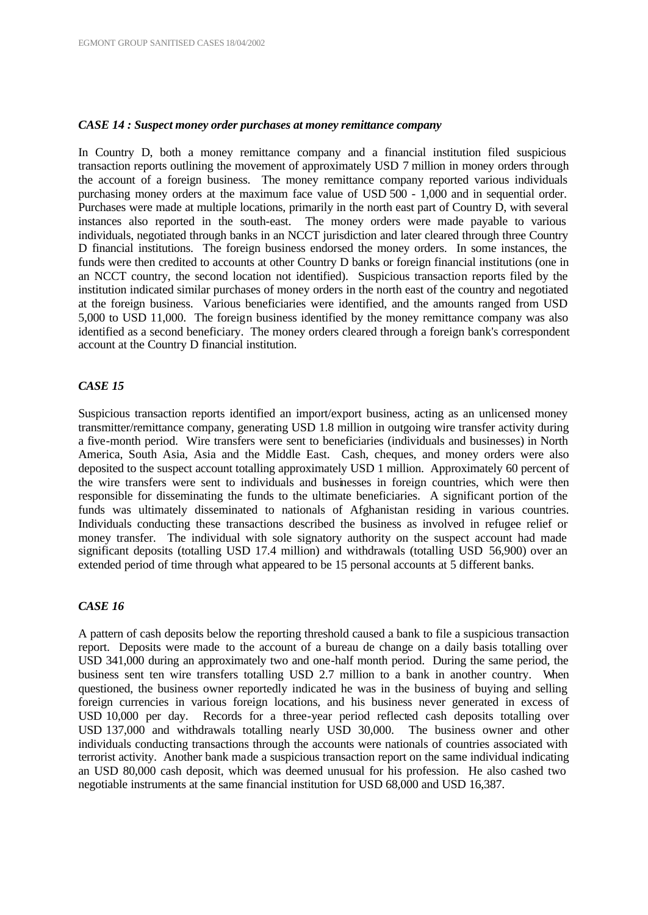## *CASE 14 : Suspect money order purchases at money remittance company*

In Country D, both a money remittance company and a financial institution filed suspicious transaction reports outlining the movement of approximately USD 7 million in money orders through the account of a foreign business. The money remittance company reported various individuals purchasing money orders at the maximum face value of USD 500 - 1,000 and in sequential order. Purchases were made at multiple locations, primarily in the north east part of Country D, with several instances also reported in the south-east. The money orders were made payable to various individuals, negotiated through banks in an NCCT jurisdiction and later cleared through three Country D financial institutions. The foreign business endorsed the money orders. In some instances, the funds were then credited to accounts at other Country D banks or foreign financial institutions (one in an NCCT country, the second location not identified). Suspicious transaction reports filed by the institution indicated similar purchases of money orders in the north east of the country and negotiated at the foreign business. Various beneficiaries were identified, and the amounts ranged from USD 5,000 to USD 11,000. The foreign business identified by the money remittance company was also identified as a second beneficiary. The money orders cleared through a foreign bank's correspondent account at the Country D financial institution.

### *CASE 15*

Suspicious transaction reports identified an import/export business, acting as an unlicensed money transmitter/remittance company, generating USD 1.8 million in outgoing wire transfer activity during a five-month period. Wire transfers were sent to beneficiaries (individuals and businesses) in North America, South Asia, Asia and the Middle East. Cash, cheques, and money orders were also deposited to the suspect account totalling approximately USD 1 million. Approximately 60 percent of the wire transfers were sent to individuals and businesses in foreign countries, which were then responsible for disseminating the funds to the ultimate beneficiaries. A significant portion of the funds was ultimately disseminated to nationals of Afghanistan residing in various countries. Individuals conducting these transactions described the business as involved in refugee relief or money transfer. The individual with sole signatory authority on the suspect account had made significant deposits (totalling USD 17.4 million) and withdrawals (totalling USD 56,900) over an extended period of time through what appeared to be 15 personal accounts at 5 different banks.

#### *CASE 16*

A pattern of cash deposits below the reporting threshold caused a bank to file a suspicious transaction report. Deposits were made to the account of a bureau de change on a daily basis totalling over USD 341,000 during an approximately two and one-half month period. During the same period, the business sent ten wire transfers totalling USD 2.7 million to a bank in another country. When questioned, the business owner reportedly indicated he was in the business of buying and selling foreign currencies in various foreign locations, and his business never generated in excess of USD 10,000 per day. Records for a three-year period reflected cash deposits totalling over USD 137,000 and withdrawals totalling nearly USD 30,000. The business owner and other individuals conducting transactions through the accounts were nationals of countries associated with terrorist activity. Another bank made a suspicious transaction report on the same individual indicating an USD 80,000 cash deposit, which was deemed unusual for his profession. He also cashed two negotiable instruments at the same financial institution for USD 68,000 and USD 16,387.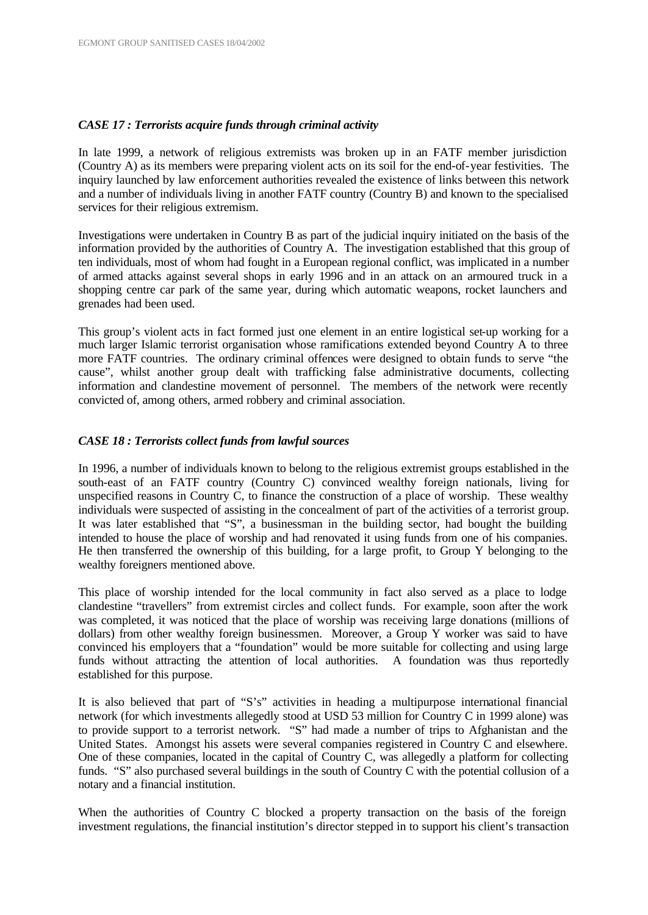## *CASE 17 : Terrorists acquire funds through criminal activity*

In late 1999, a network of religious extremists was broken up in an FATF member jurisdiction (Country A) as its members were preparing violent acts on its soil for the end-of-year festivities. The inquiry launched by law enforcement authorities revealed the existence of links between this network and a number of individuals living in another FATF country (Country B) and known to the specialised services for their religious extremism.

Investigations were undertaken in Country B as part of the judicial inquiry initiated on the basis of the information provided by the authorities of Country A. The investigation established that this group of ten individuals, most of whom had fought in a European regional conflict, was implicated in a number of armed attacks against several shops in early 1996 and in an attack on an armoured truck in a shopping centre car park of the same year, during which automatic weapons, rocket launchers and grenades had been used.

This group's violent acts in fact formed just one element in an entire logistical set-up working for a much larger Islamic terrorist organisation whose ramifications extended beyond Country A to three more FATF countries. The ordinary criminal offences were designed to obtain funds to serve "the cause", whilst another group dealt with trafficking false administrative documents, collecting information and clandestine movement of personnel. The members of the network were recently convicted of, among others, armed robbery and criminal association.

# *CASE 18 : Terrorists collect funds from lawful sources*

In 1996, a number of individuals known to belong to the religious extremist groups established in the south-east of an FATF country (Country C) convinced wealthy foreign nationals, living for unspecified reasons in Country C, to finance the construction of a place of worship. These wealthy individuals were suspected of assisting in the concealment of part of the activities of a terrorist group. It was later established that "S", a businessman in the building sector, had bought the building intended to house the place of worship and had renovated it using funds from one of his companies. He then transferred the ownership of this building, for a large profit, to Group Y belonging to the wealthy foreigners mentioned above.

This place of worship intended for the local community in fact also served as a place to lodge clandestine "travellers" from extremist circles and collect funds. For example, soon after the work was completed, it was noticed that the place of worship was receiving large donations (millions of dollars) from other wealthy foreign businessmen. Moreover, a Group Y worker was said to have convinced his employers that a "foundation" would be more suitable for collecting and using large funds without attracting the attention of local authorities. A foundation was thus reportedly established for this purpose.

It is also believed that part of "S's" activities in heading a multipurpose international financial network (for which investments allegedly stood at USD 53 million for Country C in 1999 alone) was to provide support to a terrorist network. "S" had made a number of trips to Afghanistan and the United States. Amongst his assets were several companies registered in Country C and elsewhere. One of these companies, located in the capital of Country C, was allegedly a platform for collecting funds. "S" also purchased several buildings in the south of Country C with the potential collusion of a notary and a financial institution.

When the authorities of Country C blocked a property transaction on the basis of the foreign investment regulations, the financial institution's director stepped in to support his client's transaction